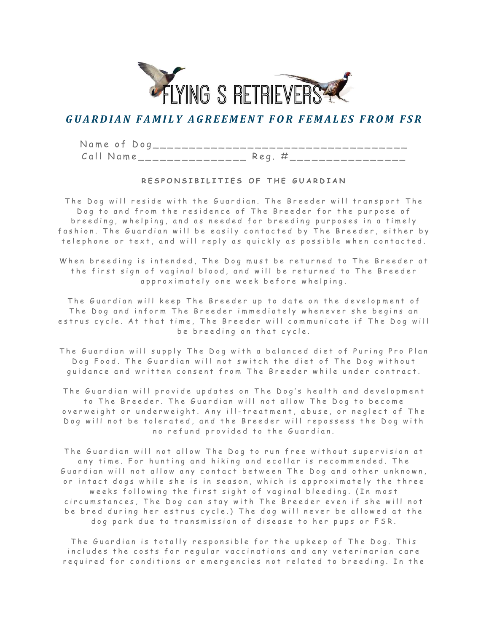

# GUARDIAN FAMILY AGREEMENT FOR FEMALES FROM FSR

Name of Dog\_\_\_\_\_\_\_\_\_\_\_\_\_\_\_\_\_\_\_\_\_\_\_\_  $Call$   $Name$  \_ \_ \_ \_ \_ \_ \_ \_ \_ \_ \_ \_ \_ \_ Reg.  $\#$  \_ \_ \_ \_ \_ \_ \_ \_ \_ \_ \_ \_ \_ \_ \_ \_ \_ \_

# RESPONSIBILITIES OF THE GUARDIAN

The Dog will reside with the Guardian. The Breeder will transport The Dog to and from the residence of The Breeder for the purpose of breeding, whelping, and as needed for breeding purposes in a timely fashion. The Guardian will be easily contacted by The Breeder, either by telephone or text, and will reply as quickly as possible when contacted.

When breeding is intended, The Dog must be returned to The Breeder at the first sign of vaginal blood, and will be returned to The Breeder approximately one week before whelping.

The Guardian will keep The Breeder up to date on the development of The Dog and inform The Breeder immediately whenever she begins an estrus cycle. At that time, The Breeder will communicate if The Dog will be breeding on that cycle.

The Guardian will supply The Dog with a balanced diet of Puring Pro Plan Dog Food. The Guardian will not switch the diet of The Dog without guidance and written consent from The Breeder while under contract.

The Guardian will provide updates on The Dog's health and development to The Breeder. The Guardian will not allow The Dog to become overweight or underweight. Any ill-treatment, abuse, or neglect of The Dog will not be tolerated, and the Breeder will repossess the Dog with no refund provided to the Guardian.

The Guardian will not allow The Dog to run free without supervision at any time. For hunting and hiking and ecollar is recommended. The Guardian will not allow any contact between The Dog and other unknown, or intact dogs while she is in season, which is approximately the three weeks following the first sight of vaginal bleeding. (In most circumstances, The Dog can stay with The Breeder even if she will not be bred during her estrus cycle.) The dog will never be allowed at the dog park due to transmission of disease to her pups or FSR.

The Guardian is totally responsible for the upkeep of The Dog. This includes the costs for regular vaccinations and any veterinarian care required for conditions or emergencies not related to breeding. In the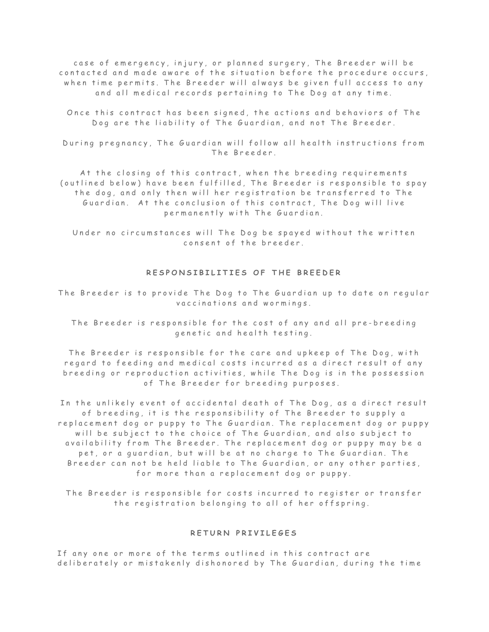case of emergency, injury, or planned surgery, The Breeder will be contacted and made aware of the situation before the procedure occurs, when time permits. The Breeder will always be given full access to any and all medical records pertaining to The Dog at any time.

Once this contract has been signed, the actions and behaviors of The Dog are the liability of The Guardian, and not The Breeder.

During pregnancy, The Guardian will follow all health instructions from The Breeder.

At the closing of this contract, when the breeding requirements (outlined below) have been fulfilled, The Breeder is responsible to spay the dog, and only then will her registration be transferred to The Guardian. At the conclusion of this contract, The Dog will live permanently with The Guardian.

Under no circumstances will The Dog be spayed without the written consent of the breeder.

# RESPONSIBILITIES OF THE BREEDER

## The Breeder is to provide The Dog to The Guardian up to date on regular vaccinations and wormings.

The B reeder is responsible for the cost of any and all pre-breeding genetic and health testing.

The Breeder is responsible for the care and upkeep of The Dog, with regard to feeding and medical costs incurred as a direct result of any breeding or reproduction activities, while The Dog is in the possession of The Breeder for breeding purposes.

In the unlikely event of accidental death of The Dog, as a direct result of breeding, it is the responsibility of The Breeder to supply a replacement dog or puppy to The Guardian. The replacement dog or puppy will be subject to the choice of The Guardian, and also subject to availability from The Breeder. The replacement dog or puppy may be a pet, or a guardian, but will be at no charge to The Guardian, The Breeder can not be held liable to The Guardian, or any other parties, for more than a replacement dog or puppy.

The Breeder is responsible for costs incurred to register or transfer the registration belonging to all of her offspring.

### RETURN PRIVILEGES

If any one or more of the terms outlined in this contract are deliberately or mistakenly dishonored by The Guardian, during the time